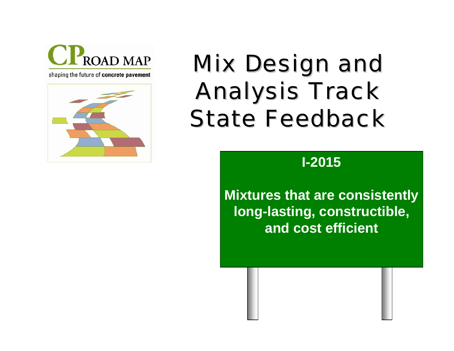

shaping the future of concrete pavement



# **Mix Design and Analysis Track State Feedback**

#### **I-2015**

**Mixtures that are consistently long-lasting, constructible, and cost efficient**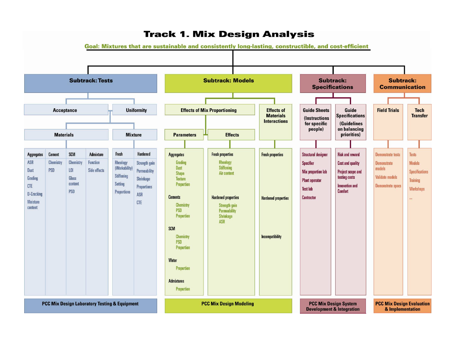#### **Track 1. Mix Design Analysis**

Goal: Mixtures that are sustainable and consistently long-lasting, constructible, and cost-efficient

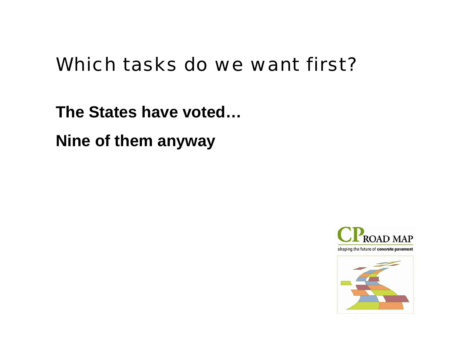## Which tasks do we want first?

**The States have voted…Nine of them anyway**



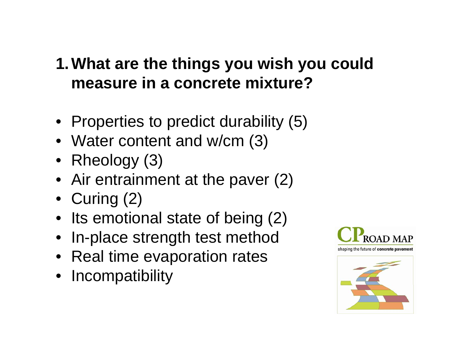- **1.What are the things you wish you could measure in a concrete mixture?**
- Properties to predict durability (5)
- Water content and w/cm (3)
- Rheology (3)
- Air entrainment at the paver (2)
- Curing (2)
- Its emotional state of being (2)
- In-place strength test method
- Real time evaporation rates
- Incompatibility



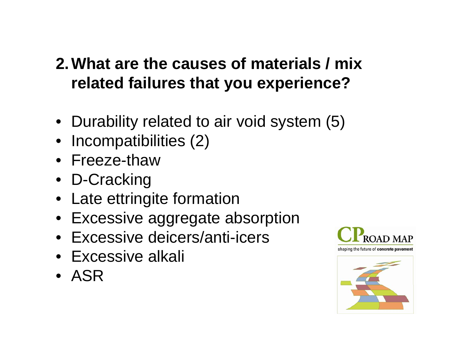#### **2.What are the causes of materials / mix related failures that you experience?**

- Durability related to air void system (5)
- Incompatibilities (2)
- Freeze-thaw
- D-Cracking
- Late ettringite formation
- Excessive aggregate absorption
- Excessive deicers/anti-icers
- Excessive alkali
- ASR



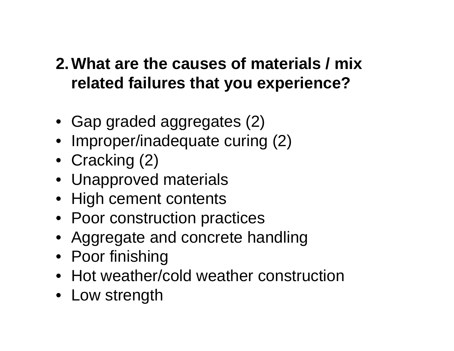#### **2.What are the causes of materials / mix related failures that you experience?**

- Gap graded aggregates (2)
- Improper/inadequate curing (2)
- Cracking (2)
- Unapproved materials
- High cement contents
- Poor construction practices
- Aggregate and concrete handling
- Poor finishing
- Hot weather/cold weather construction
- Low strength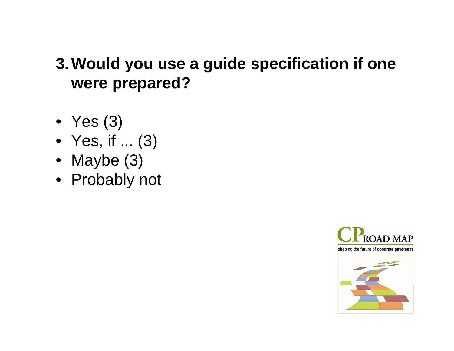#### **3.Would you use a guide specification if one were prepared?**

- Yes (3)
- Yes, if ... (3)
- Maybe (3)
- Probably not



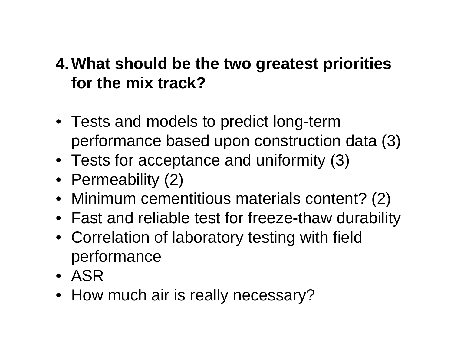#### **4.What should be the two greatest priorities for the mix track?**

- Tests and models to predict long-term performance based upon construction data (3)
- Tests for acceptance and uniformity (3)
- Permeability (2)
- Minimum cementitious materials content? (2)
- Fast and reliable test for freeze-thaw durability
- Correlation of laboratory testing with field performance
- ASR
- How much air is really necessary?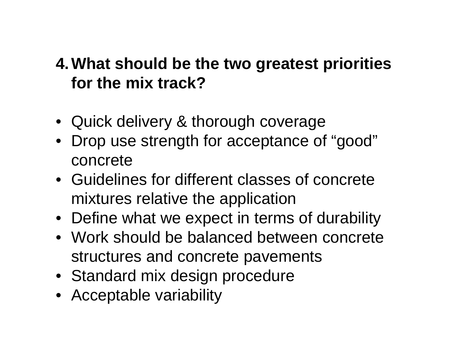#### **4.What should be the two greatest priorities for the mix track?**

- Quick delivery & thorough coverage
- Drop use strength for acceptance of "good" concrete
- Guidelines for different classes of concrete mixtures relative the application
- Define what we expect in terms of durability
- Work should be balanced between concrete structures and concrete pavements
- Standard mix design procedure
- Acceptable variability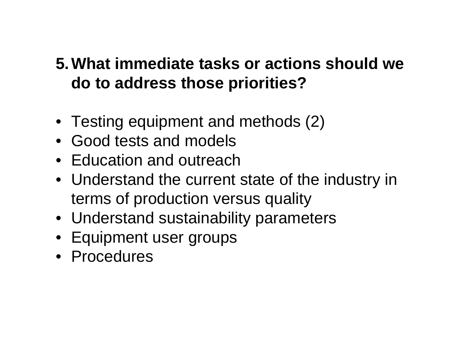#### **5.What immediate tasks or actions should we do to address those priorities?**

- Testing equipment and methods (2)
- Good tests and models
- Education and outreach
- Understand the current state of the industry in terms of production versus quality
- Understand sustainability parameters
- Equipment user groups
- Procedures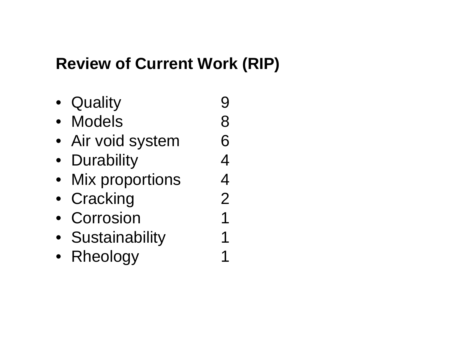#### **Review of Current Work (RIP)**

9

8

4

1

- Quality
- Models
- Air void system 6
- Durability
- Mix proportions 4
- Cracking 2
- Corrosion 1
- Sustainability 1
- Rheology